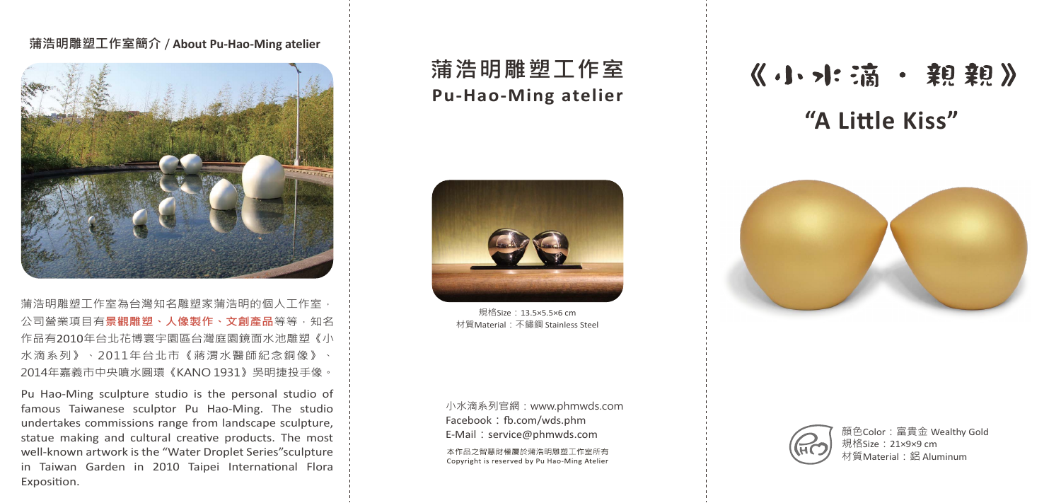## **蒲浩明雕塑工作室簡介** / **About Pu-Hao-Ming atelier**



蒲浩明雕塑工作室為台灣知名雕塑家蒲浩明的個人工作室, 公司營業項目有**景觀雕塑、人像製作、文創產品**等等,知名 作品有2010年台北花博寰宇園區台灣庭園鏡面水池雕塑《小 水滴系列》、2011年台北市《蔣渭水醫師紀念銅像》、 2014年嘉義市中央噴水圓環《KANO 1931》吳明捷投手像。

Pu Hao-Ming sculpture studio is the personal studio of famous Taiwanese sculptor Pu Hao-Ming. The studio undertakes commissions range from landscape sculpture, statue making and cultural creative products. The most well-known artwork is the "Water Droplet Series"sculpture in Taiwan Garden in 2010 Taipei International Flora Exposition.

# **蒲浩明雕塑工作室 Pu-Hao-Ming atelier**



規格Size:13.5×5.5×6 cm 材質Material:不鏽鋼 Stainless Steel

小水滴系列官網:www.phmwds.com Facebook: fb.com/wds.phm E-Mail: service@phmwds.com 本作品之智慧財權屬於蒲浩明雕塑工作室所有 Copyright is reserved by Pu Hao-Ming Atelier

# 《小水滴·親親》 **"A Little Kiss"**





顏色Color:富貴金 Wealthy Gold 規格Size:21×9×9 cm 材質Material:鋁 Aluminum